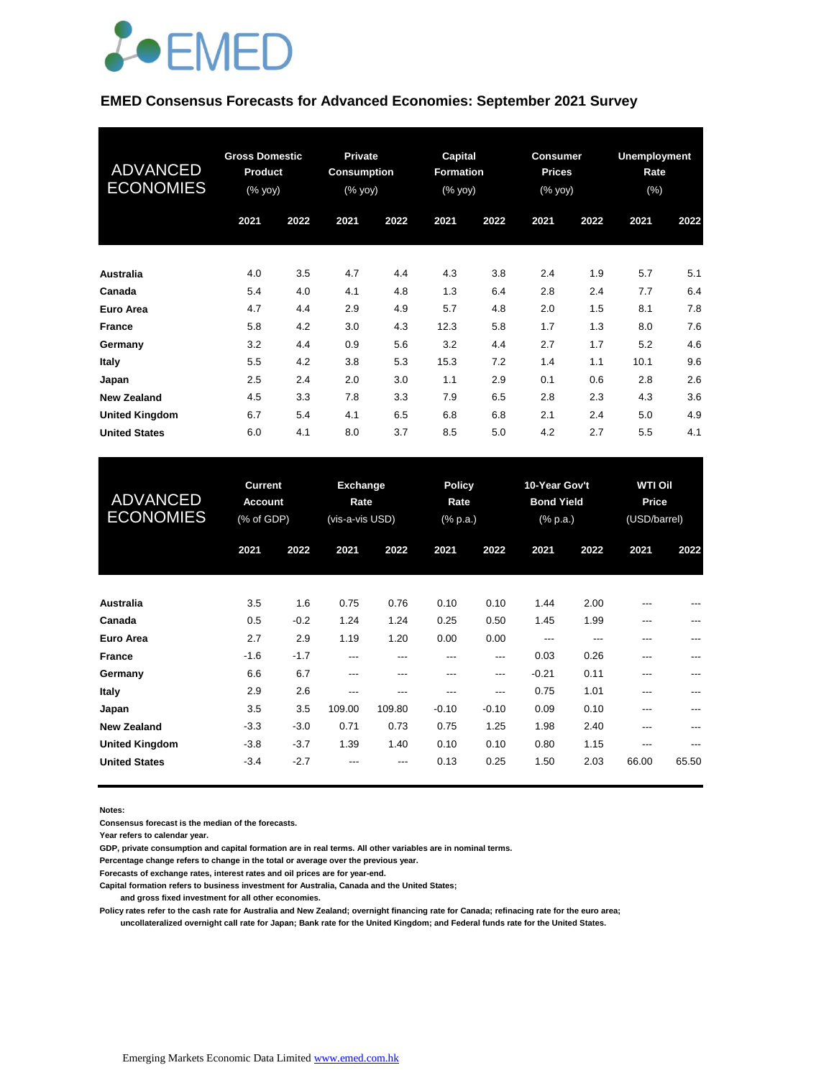

#### **EMED Consensus Forecasts for Advanced Economies: September 2021 Survey**

| <b>ADVANCED</b><br><b>ECONOMIES</b> | <b>Gross Domestic</b><br>Product<br>(% yoy) |      | <b>Private</b><br><b>Consumption</b><br>$(% \mathsf{Y}\rightarrow \mathsf{Y})$ |      | Capital<br><b>Formation</b><br>(% yoy) |      | <b>Consumer</b><br><b>Prices</b><br>(% yoy) |      | <b>Unemployment</b><br>Rate<br>$(\%)$ |      |
|-------------------------------------|---------------------------------------------|------|--------------------------------------------------------------------------------|------|----------------------------------------|------|---------------------------------------------|------|---------------------------------------|------|
|                                     | 2021                                        | 2022 | 2021                                                                           | 2022 | 2021                                   | 2022 | 2021                                        | 2022 | 2021                                  | 2022 |
| Australia                           | 4.0                                         | 3.5  | 4.7                                                                            | 4.4  | 4.3                                    | 3.8  | 2.4                                         | 1.9  | 5.7                                   | 5.1  |
| Canada                              | 5.4                                         | 4.0  | 4.1                                                                            | 4.8  | 1.3                                    | 6.4  | 2.8                                         | 2.4  | 7.7                                   | 6.4  |
| Euro Area                           | 4.7                                         | 4.4  | 2.9                                                                            | 4.9  | 5.7                                    | 4.8  | 2.0                                         | 1.5  | 8.1                                   | 7.8  |
| <b>France</b>                       | 5.8                                         | 4.2  | 3.0                                                                            | 4.3  | 12.3                                   | 5.8  | 1.7                                         | 1.3  | 8.0                                   | 7.6  |
| Germany                             | 3.2                                         | 4.4  | 0.9                                                                            | 5.6  | 3.2                                    | 4.4  | 2.7                                         | 1.7  | 5.2                                   | 4.6  |
| Italy                               | 5.5                                         | 4.2  | 3.8                                                                            | 5.3  | 15.3                                   | 7.2  | 1.4                                         | 1.1  | 10.1                                  | 9.6  |
| Japan                               | 2.5                                         | 2.4  | 2.0                                                                            | 3.0  | 1.1                                    | 2.9  | 0.1                                         | 0.6  | 2.8                                   | 2.6  |
| <b>New Zealand</b>                  | 4.5                                         | 3.3  | 7.8                                                                            | 3.3  | 7.9                                    | 6.5  | 2.8                                         | 2.3  | 4.3                                   | 3.6  |
| <b>United Kingdom</b>               | 6.7                                         | 5.4  | 4.1                                                                            | 6.5  | 6.8                                    | 6.8  | 2.1                                         | 2.4  | 5.0                                   | 4.9  |
| <b>United States</b>                | 6.0                                         | 4.1  | 8.0                                                                            | 3.7  | 8.5                                    | 5.0  | 4.2                                         | 2.7  | 5.5                                   | 4.1  |

| <b>ADVANCED</b><br><b>ECONOMIES</b> | <b>Current</b><br><b>Account</b><br>(% of GDP) |        | Exchange<br>Rate<br>(vis-a-vis USD) |        | <b>Policy</b><br>Rate<br>$(%$ (% p.a.) |         | 10-Year Gov't<br><b>Bond Yield</b><br>(% p.a.) |      | <b>WTI Oil</b><br>Price<br>(USD/barrel) |       |
|-------------------------------------|------------------------------------------------|--------|-------------------------------------|--------|----------------------------------------|---------|------------------------------------------------|------|-----------------------------------------|-------|
|                                     | 2021                                           | 2022   | 2021                                | 2022   | 2021                                   | 2022    | 2021                                           | 2022 | 2021                                    | 2022  |
| Australia                           | 3.5                                            | 1.6    | 0.75                                | 0.76   | 0.10                                   | 0.10    | 1.44                                           | 2.00 | ---                                     | ---   |
| Canada                              | 0.5                                            | $-0.2$ | 1.24                                | 1.24   | 0.25                                   | 0.50    | 1.45                                           | 1.99 | ---                                     | ---   |
| Euro Area                           | 2.7                                            | 2.9    | 1.19                                | 1.20   | 0.00                                   | 0.00    | ---                                            | ---  | ---                                     | ---   |
| <b>France</b>                       | $-1.6$                                         | $-1.7$ | ---                                 | ---    | ---                                    | ---     | 0.03                                           | 0.26 | ---                                     | ---   |
| Germany                             | 6.6                                            | 6.7    | ---                                 | ---    | ---                                    | ---     | $-0.21$                                        | 0.11 | ---                                     | ---   |
| Italy                               | 2.9                                            | 2.6    | $---$                               | ---    | ---                                    | $---$   | 0.75                                           | 1.01 | ---                                     | ---   |
| Japan                               | 3.5                                            | 3.5    | 109.00                              | 109.80 | $-0.10$                                | $-0.10$ | 0.09                                           | 0.10 | ---                                     |       |
| <b>New Zealand</b>                  | $-3.3$                                         | $-3.0$ | 0.71                                | 0.73   | 0.75                                   | 1.25    | 1.98                                           | 2.40 | ---                                     |       |
| <b>United Kingdom</b>               | $-3.8$                                         | $-3.7$ | 1.39                                | 1.40   | 0.10                                   | 0.10    | 0.80                                           | 1.15 | ---                                     | ---   |
| <b>United States</b>                | $-3.4$                                         | $-2.7$ | ---                                 | ---    | 0.13                                   | 0.25    | 1.50                                           | 2.03 | 66.00                                   | 65.50 |

**Notes:** 

**Consensus forecast is the median of the forecasts.**

**Year refers to calendar year.**

**GDP, private consumption and capital formation are in real terms. All other variables are in nominal terms.**

**Percentage change refers to change in the total or average over the previous year.**

**Forecasts of exchange rates, interest rates and oil prices are for year-end.**

**Capital formation refers to business investment for Australia, Canada and the United States;**

 **and gross fixed investment for all other economies.**

**Policy rates refer to the cash rate for Australia and New Zealand; overnight financing rate for Canada; refinacing rate for the euro area; uncollateralized overnight call rate for Japan; Bank rate for the United Kingdom; and Federal funds rate for the United States.**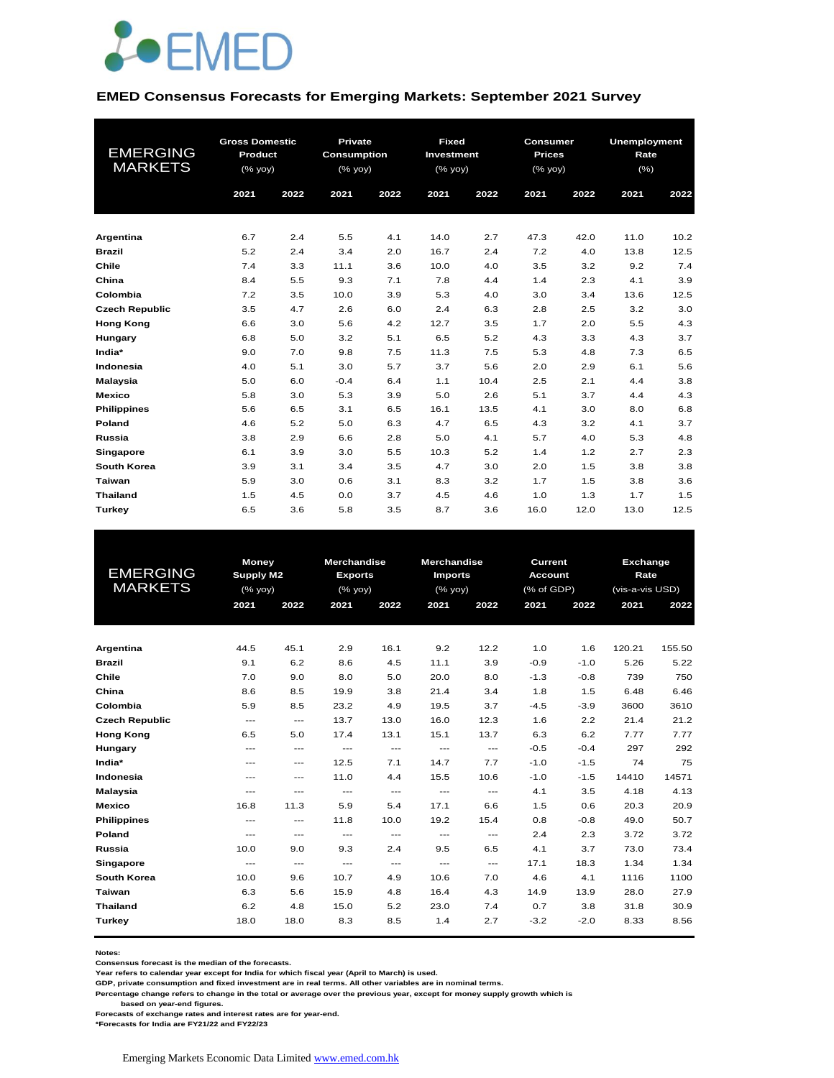

#### **EMED Consensus Forecasts for Emerging Markets: September 2021 Survey**

| <b>EMERGING</b><br><b>MARKETS</b> | <b>Gross Domestic</b><br>Product<br>(% yoy) |      | Private<br><b>Consumption</b><br>(% yoy) |      | <b>Fixed</b><br><b>Investment</b><br>(% yoy) |      | <b>Consumer</b><br><b>Prices</b><br>(% yoy) |      | <b>Unemployment</b><br>Rate<br>(%) |      |
|-----------------------------------|---------------------------------------------|------|------------------------------------------|------|----------------------------------------------|------|---------------------------------------------|------|------------------------------------|------|
|                                   | 2021                                        | 2022 | 2021                                     | 2022 | 2021                                         | 2022 | 2021                                        | 2022 | 2021                               | 2022 |
| Argentina                         | 6.7                                         | 2.4  | 5.5                                      | 4.1  | 14.0                                         | 2.7  | 47.3                                        | 42.0 | 11.0                               | 10.2 |
| <b>Brazil</b>                     | 5.2                                         | 2.4  | 3.4                                      | 2.0  | 16.7                                         | 2.4  | 7.2                                         | 4.0  | 13.8                               | 12.5 |
| Chile                             | 7.4                                         | 3.3  | 11.1                                     | 3.6  | 10.0                                         | 4.0  | 3.5                                         | 3.2  | 9.2                                | 7.4  |
| China                             | 8.4                                         | 5.5  | 9.3                                      | 7.1  | 7.8                                          | 4.4  | 1.4                                         | 2.3  | 4.1                                | 3.9  |
| Colombia                          | 7.2                                         | 3.5  | 10.0                                     | 3.9  | 5.3                                          | 4.0  | 3.0                                         | 3.4  | 13.6                               | 12.5 |
| <b>Czech Republic</b>             | 3.5                                         | 4.7  | 2.6                                      | 6.0  | 2.4                                          | 6.3  | 2.8                                         | 2.5  | 3.2                                | 3.0  |
| <b>Hong Kong</b>                  | 6.6                                         | 3.0  | 5.6                                      | 4.2  | 12.7                                         | 3.5  | 1.7                                         | 2.0  | 5.5                                | 4.3  |
| Hungary                           | 6.8                                         | 5.0  | 3.2                                      | 5.1  | 6.5                                          | 5.2  | 4.3                                         | 3.3  | 4.3                                | 3.7  |
| India*                            | 9.0                                         | 7.0  | 9.8                                      | 7.5  | 11.3                                         | 7.5  | 5.3                                         | 4.8  | 7.3                                | 6.5  |
| Indonesia                         | 4.0                                         | 5.1  | 3.0                                      | 5.7  | 3.7                                          | 5.6  | 2.0                                         | 2.9  | 6.1                                | 5.6  |
| <b>Malaysia</b>                   | 5.0                                         | 6.0  | $-0.4$                                   | 6.4  | 1.1                                          | 10.4 | 2.5                                         | 2.1  | 4.4                                | 3.8  |
| <b>Mexico</b>                     | 5.8                                         | 3.0  | 5.3                                      | 3.9  | 5.0                                          | 2.6  | 5.1                                         | 3.7  | 4.4                                | 4.3  |
| <b>Philippines</b>                | 5.6                                         | 6.5  | 3.1                                      | 6.5  | 16.1                                         | 13.5 | 4.1                                         | 3.0  | 8.0                                | 6.8  |
| Poland                            | 4.6                                         | 5.2  | 5.0                                      | 6.3  | 4.7                                          | 6.5  | 4.3                                         | 3.2  | 4.1                                | 3.7  |
| Russia                            | 3.8                                         | 2.9  | 6.6                                      | 2.8  | 5.0                                          | 4.1  | 5.7                                         | 4.0  | 5.3                                | 4.8  |
| Singapore                         | 6.1                                         | 3.9  | 3.0                                      | 5.5  | 10.3                                         | 5.2  | 1.4                                         | 1.2  | 2.7                                | 2.3  |
| South Korea                       | 3.9                                         | 3.1  | 3.4                                      | 3.5  | 4.7                                          | 3.0  | 2.0                                         | 1.5  | 3.8                                | 3.8  |
| Taiwan                            | 5.9                                         | 3.0  | 0.6                                      | 3.1  | 8.3                                          | 3.2  | 1.7                                         | 1.5  | 3.8                                | 3.6  |
| <b>Thailand</b>                   | 1.5                                         | 4.5  | 0.0                                      | 3.7  | 4.5                                          | 4.6  | 1.0                                         | 1.3  | 1.7                                | 1.5  |
| Turkey                            | 6.5                                         | 3.6  | 5.8                                      | 3.5  | 8.7                                          | 3.6  | 16.0                                        | 12.0 | 13.0                               | 12.5 |

| <b>EMERGING</b><br><b>MARKETS</b> | 2021     | <b>Money</b><br><b>Supply M2</b><br>(% yoy)<br>2022 |       | <b>Merchandise</b><br><b>Exports</b><br>(% yoy)<br>2021<br>2022 |                     | <b>Merchandise</b><br><b>Imports</b><br>(% yoy)<br>2021<br>2022 |        | Current<br><b>Account</b><br>(% of GDP)<br>2021<br>2022 |        | Exchange<br>Rate<br>(vis-a-vis USD)<br>2021<br>2022 |  |
|-----------------------------------|----------|-----------------------------------------------------|-------|-----------------------------------------------------------------|---------------------|-----------------------------------------------------------------|--------|---------------------------------------------------------|--------|-----------------------------------------------------|--|
|                                   |          |                                                     |       |                                                                 |                     |                                                                 |        |                                                         |        |                                                     |  |
| Argentina                         | 44.5     | 45.1                                                | 2.9   | 16.1                                                            | 9.2                 | 12.2                                                            | 1.0    | 1.6                                                     | 120.21 | 155.50                                              |  |
| <b>Brazil</b>                     | 9.1      | 6.2                                                 | 8.6   | 4.5                                                             | 11.1                | 3.9                                                             | $-0.9$ | $-1.0$                                                  | 5.26   | 5.22                                                |  |
| Chile                             | 7.0      | 9.0                                                 | 8.0   | 5.0                                                             | 20.0                | 8.0                                                             | $-1.3$ | $-0.8$                                                  | 739    | 750                                                 |  |
| China                             | 8.6      | 8.5                                                 | 19.9  | 3.8                                                             | 21.4                | 3.4                                                             | 1.8    | 1.5                                                     | 6.48   | 6.46                                                |  |
| Colombia                          | 5.9      | 8.5                                                 | 23.2  | 4.9                                                             | 19.5                | 3.7                                                             | $-4.5$ | $-3.9$                                                  | 3600   | 3610                                                |  |
| <b>Czech Republic</b>             | $\cdots$ | $\qquad \qquad - -$                                 | 13.7  | 13.0                                                            | 16.0                | 12.3                                                            | 1.6    | 2.2                                                     | 21.4   | 21.2                                                |  |
| <b>Hong Kong</b>                  | 6.5      | 5.0                                                 | 17.4  | 13.1                                                            | 15.1                | 13.7                                                            | 6.3    | 6.2                                                     | 7.77   | 7.77                                                |  |
| Hungary                           | $---$    | $\qquad \qquad - -$                                 | $---$ | $---$                                                           | $\qquad \qquad - -$ | $\qquad \qquad - -$                                             | $-0.5$ | $-0.4$                                                  | 297    | 292                                                 |  |
| India*                            | $---$    | $---$                                               | 12.5  | 7.1                                                             | 14.7                | 7.7                                                             | $-1.0$ | $-1.5$                                                  | 74     | 75                                                  |  |
| Indonesia                         | $---$    | $---$                                               | 11.0  | 4.4                                                             | 15.5                | 10.6                                                            | $-1.0$ | $-1.5$                                                  | 14410  | 14571                                               |  |
| <b>Malaysia</b>                   | $---$    | $---$                                               | $---$ | $---$                                                           | $\cdots$            | $\qquad \qquad - -$                                             | 4.1    | 3.5                                                     | 4.18   | 4.13                                                |  |
| <b>Mexico</b>                     | 16.8     | 11.3                                                | 5.9   | 5.4                                                             | 17.1                | 6.6                                                             | 1.5    | 0.6                                                     | 20.3   | 20.9                                                |  |
| <b>Philippines</b>                | $---$    | $---$                                               | 11.8  | 10.0                                                            | 19.2                | 15.4                                                            | 0.8    | $-0.8$                                                  | 49.0   | 50.7                                                |  |
| Poland                            | $---$    | $---$                                               | $---$ | $---$                                                           | $---$               | $---$                                                           | 2.4    | 2.3                                                     | 3.72   | 3.72                                                |  |
| Russia                            | 10.0     | 9.0                                                 | 9.3   | 2.4                                                             | 9.5                 | 6.5                                                             | 4.1    | 3.7                                                     | 73.0   | 73.4                                                |  |
| Singapore                         | $\cdots$ | $\qquad \qquad - -$                                 | $---$ | $---$                                                           | $---$               | $\qquad \qquad - -$                                             | 17.1   | 18.3                                                    | 1.34   | 1.34                                                |  |
| <b>South Korea</b>                | 10.0     | 9.6                                                 | 10.7  | 4.9                                                             | 10.6                | 7.0                                                             | 4.6    | 4.1                                                     | 1116   | 1100                                                |  |
| Taiwan                            | 6.3      | 5.6                                                 | 15.9  | 4.8                                                             | 16.4                | 4.3                                                             | 14.9   | 13.9                                                    | 28.0   | 27.9                                                |  |
| <b>Thailand</b>                   | 6.2      | 4.8                                                 | 15.0  | 5.2                                                             | 23.0                | 7.4                                                             | 0.7    | 3.8                                                     | 31.8   | 30.9                                                |  |
| Turkey                            | 18.0     | 18.0                                                | 8.3   | 8.5                                                             | 1.4                 | 2.7                                                             | $-3.2$ | $-2.0$                                                  | 8.33   | 8.56                                                |  |
|                                   |          |                                                     |       |                                                                 |                     |                                                                 |        |                                                         |        |                                                     |  |

**Notes:** 

**Consensus forecast is the median of the forecasts.**

**Year refers to calendar year except for India for which fiscal year (April to March) is used.**

**GDP, private consumption and fixed investment are in real terms. All other variables are in nominal terms.**

**Percentage change refers to change in the total or average over the previous year, except for money supply growth which is** 

 **based on year-end figures.**

**Forecasts of exchange rates and interest rates are for year-end.**

**\*Forecasts for India are FY21/22 and FY22/23**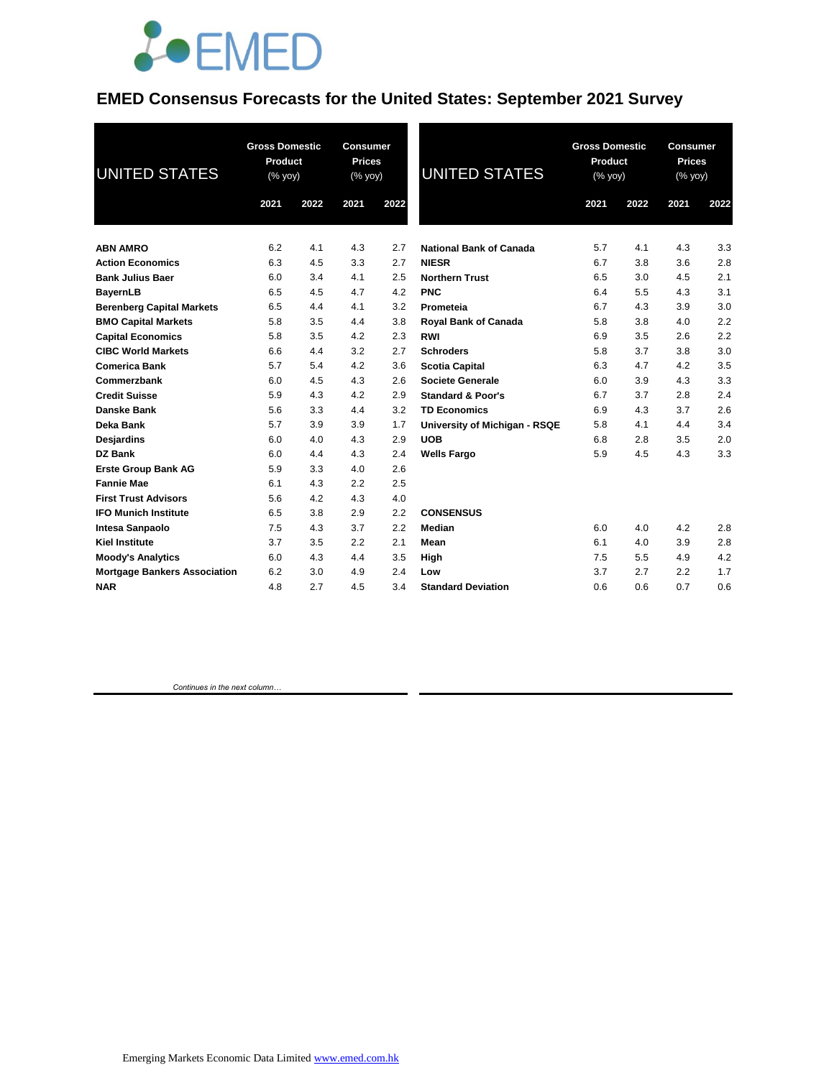

#### **EMED Consensus Forecasts for the United States: September 2021 Survey**

| <b>UNITED STATES</b>                | <b>Gross Domestic</b><br>Product<br>$(\sqrt{8}$ yoy) |      | <b>Consumer</b><br><b>Prices</b><br>(% yoy) |      | <b>UNITED STATES</b>           | <b>Gross Domestic</b><br>Product<br>(% yoy) |      | Consumer<br><b>Prices</b><br>(% yoy) |      |
|-------------------------------------|------------------------------------------------------|------|---------------------------------------------|------|--------------------------------|---------------------------------------------|------|--------------------------------------|------|
|                                     | 2021                                                 | 2022 | 2021                                        | 2022 |                                | 2021                                        | 2022 | 2021                                 | 2022 |
| <b>ABN AMRO</b>                     | 6.2                                                  | 4.1  | 4.3                                         | 2.7  | <b>National Bank of Canada</b> | 5.7                                         | 4.1  | 4.3                                  | 3.3  |
| <b>Action Economics</b>             | 6.3                                                  | 4.5  | 3.3                                         | 2.7  | <b>NIESR</b>                   | 6.7                                         | 3.8  | 3.6                                  | 2.8  |
| <b>Bank Julius Baer</b>             | 6.0                                                  | 3.4  | 4.1                                         | 2.5  | <b>Northern Trust</b>          | 6.5                                         | 3.0  | 4.5                                  | 2.1  |
| <b>BayernLB</b>                     | 6.5                                                  | 4.5  | 4.7                                         | 4.2  | <b>PNC</b>                     | 6.4                                         | 5.5  | 4.3                                  | 3.1  |
| <b>Berenberg Capital Markets</b>    | 6.5                                                  | 4.4  | 4.1                                         | 3.2  | Prometeia                      | 6.7                                         | 4.3  | 3.9                                  | 3.0  |
| <b>BMO Capital Markets</b>          | 5.8                                                  | 3.5  | 4.4                                         | 3.8  | <b>Royal Bank of Canada</b>    | 5.8                                         | 3.8  | 4.0                                  | 2.2  |
| <b>Capital Economics</b>            | 5.8                                                  | 3.5  | 4.2                                         | 2.3  | <b>RWI</b>                     | 6.9                                         | 3.5  | 2.6                                  | 2.2  |
| <b>CIBC World Markets</b>           | 6.6                                                  | 4.4  | 3.2                                         | 2.7  | <b>Schroders</b>               | 5.8                                         | 3.7  | 3.8                                  | 3.0  |
| <b>Comerica Bank</b>                | 5.7                                                  | 5.4  | 4.2                                         | 3.6  | <b>Scotia Capital</b>          | 6.3                                         | 4.7  | 4.2                                  | 3.5  |
| Commerzbank                         | 6.0                                                  | 4.5  | 4.3                                         | 2.6  | <b>Societe Generale</b>        | 6.0                                         | 3.9  | 4.3                                  | 3.3  |
| <b>Credit Suisse</b>                | 5.9                                                  | 4.3  | 4.2                                         | 2.9  | <b>Standard &amp; Poor's</b>   | 6.7                                         | 3.7  | 2.8                                  | 2.4  |
| Danske Bank                         | 5.6                                                  | 3.3  | 4.4                                         | 3.2  | <b>TD Economics</b>            | 6.9                                         | 4.3  | 3.7                                  | 2.6  |
| Deka Bank                           | 5.7                                                  | 3.9  | 3.9                                         | 1.7  | University of Michigan - RSQE  | 5.8                                         | 4.1  | 4.4                                  | 3.4  |
| Desjardins                          | 6.0                                                  | 4.0  | 4.3                                         | 2.9  | <b>UOB</b>                     | 6.8                                         | 2.8  | 3.5                                  | 2.0  |
| <b>DZ Bank</b>                      | 6.0                                                  | 4.4  | 4.3                                         | 2.4  | <b>Wells Fargo</b>             | 5.9                                         | 4.5  | 4.3                                  | 3.3  |
| <b>Erste Group Bank AG</b>          | 5.9                                                  | 3.3  | 4.0                                         | 2.6  |                                |                                             |      |                                      |      |
| <b>Fannie Mae</b>                   | 6.1                                                  | 4.3  | 2.2                                         | 2.5  |                                |                                             |      |                                      |      |
| <b>First Trust Advisors</b>         | 5.6                                                  | 4.2  | 4.3                                         | 4.0  |                                |                                             |      |                                      |      |
| <b>IFO Munich Institute</b>         | 6.5                                                  | 3.8  | 2.9                                         | 2.2  | <b>CONSENSUS</b>               |                                             |      |                                      |      |
| Intesa Sanpaolo                     | 7.5                                                  | 4.3  | 3.7                                         | 2.2  | Median                         | 6.0                                         | 4.0  | 4.2                                  | 2.8  |
| <b>Kiel Institute</b>               | 3.7                                                  | 3.5  | 2.2                                         | 2.1  | Mean                           | 6.1                                         | 4.0  | 3.9                                  | 2.8  |
| <b>Moody's Analytics</b>            | 6.0                                                  | 4.3  | 4.4                                         | 3.5  | High                           | 7.5                                         | 5.5  | 4.9                                  | 4.2  |
| <b>Mortgage Bankers Association</b> | 6.2                                                  | 3.0  | 4.9                                         | 2.4  | Low                            | 3.7                                         | 2.7  | 2.2                                  | 1.7  |
| <b>NAR</b>                          | 4.8                                                  | 2.7  | 4.5                                         | 3.4  | <b>Standard Deviation</b>      | 0.6                                         | 0.6  | 0.7                                  | 0.6  |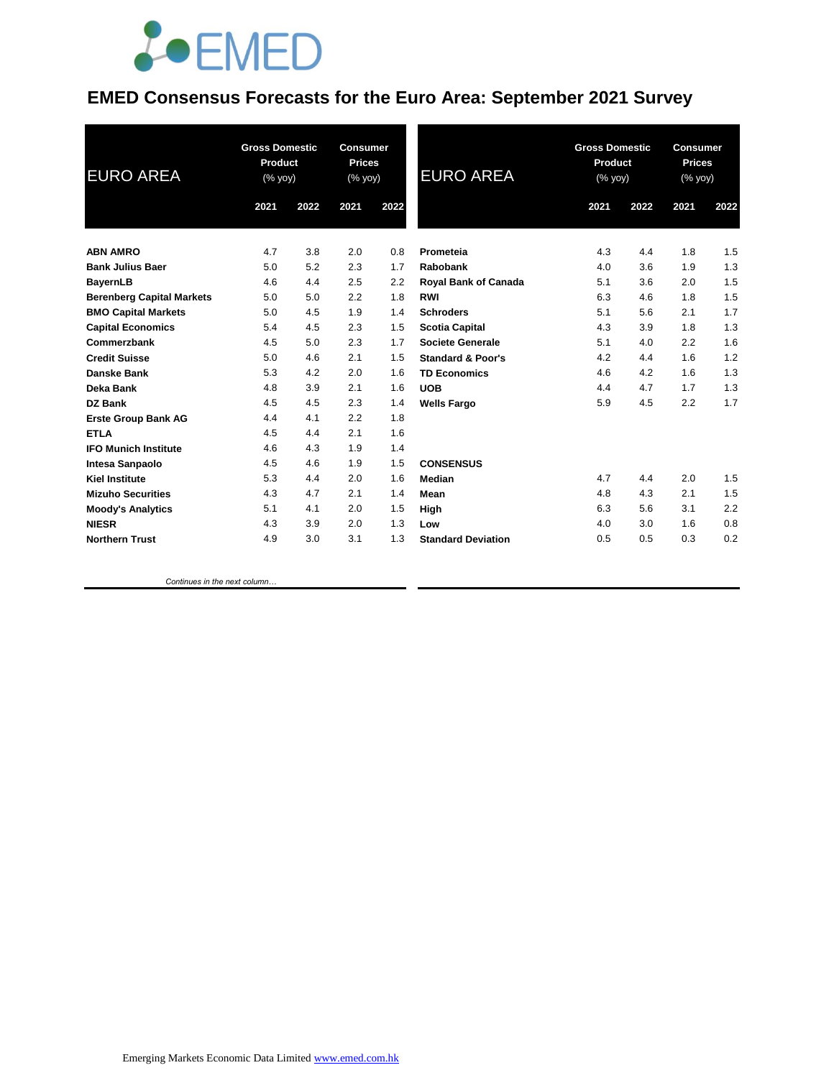

#### **EMED Consensus Forecasts for the Euro Area: September 2021 Survey**

| <b>EURO AREA</b>                 | <b>Gross Domestic</b><br>Product<br>(% yoy) |      | <b>Consumer</b><br><b>Prices</b><br>(% yoy) |      | <b>EURO AREA</b>             | <b>Gross Domestic</b><br>Product<br>(% yoy) |      | <b>Consumer</b><br><b>Prices</b><br>(% yoy) |      |
|----------------------------------|---------------------------------------------|------|---------------------------------------------|------|------------------------------|---------------------------------------------|------|---------------------------------------------|------|
|                                  | 2021                                        | 2022 | 2021                                        | 2022 |                              | 2021                                        | 2022 | 2021                                        | 2022 |
| <b>ABN AMRO</b>                  | 4.7                                         | 3.8  | 2.0                                         | 0.8  | Prometeia                    | 4.3                                         | 4.4  | 1.8                                         | 1.5  |
| <b>Bank Julius Baer</b>          | 5.0                                         | 5.2  | 2.3                                         | 1.7  | Rabobank                     | 4.0                                         | 3.6  | 1.9                                         | 1.3  |
| <b>BayernLB</b>                  | 4.6                                         | 4.4  | 2.5                                         | 2.2  | <b>Royal Bank of Canada</b>  | 5.1                                         | 3.6  | 2.0                                         | 1.5  |
| <b>Berenberg Capital Markets</b> | 5.0                                         | 5.0  | 2.2                                         | 1.8  | <b>RWI</b>                   | 6.3                                         | 4.6  | 1.8                                         | 1.5  |
| <b>BMO Capital Markets</b>       | 5.0                                         | 4.5  | 1.9                                         | 1.4  | <b>Schroders</b>             | 5.1                                         | 5.6  | 2.1                                         | 1.7  |
| <b>Capital Economics</b>         | 5.4                                         | 4.5  | 2.3                                         | 1.5  | <b>Scotia Capital</b>        | 4.3                                         | 3.9  | 1.8                                         | 1.3  |
| Commerzbank                      | 4.5                                         | 5.0  | 2.3                                         | 1.7  | <b>Societe Generale</b>      | 5.1                                         | 4.0  | 2.2                                         | 1.6  |
| <b>Credit Suisse</b>             | 5.0                                         | 4.6  | 2.1                                         | 1.5  | <b>Standard &amp; Poor's</b> | 4.2                                         | 4.4  | 1.6                                         | 1.2  |
| Danske Bank                      | 5.3                                         | 4.2  | 2.0                                         | 1.6  | <b>TD Economics</b>          | 4.6                                         | 4.2  | 1.6                                         | 1.3  |
| Deka Bank                        | 4.8                                         | 3.9  | 2.1                                         | 1.6  | <b>UOB</b>                   | 4.4                                         | 4.7  | 1.7                                         | 1.3  |
| DZ Bank                          | 4.5                                         | 4.5  | 2.3                                         | 1.4  | <b>Wells Fargo</b>           | 5.9                                         | 4.5  | 2.2                                         | 1.7  |
| <b>Erste Group Bank AG</b>       | 4.4                                         | 4.1  | 2.2                                         | 1.8  |                              |                                             |      |                                             |      |
| <b>ETLA</b>                      | 4.5                                         | 4.4  | 2.1                                         | 1.6  |                              |                                             |      |                                             |      |
| <b>IFO Munich Institute</b>      | 4.6                                         | 4.3  | 1.9                                         | 1.4  |                              |                                             |      |                                             |      |
| <b>Intesa Sanpaolo</b>           | 4.5                                         | 4.6  | 1.9                                         | 1.5  | <b>CONSENSUS</b>             |                                             |      |                                             |      |
| <b>Kiel Institute</b>            | 5.3                                         | 4.4  | 2.0                                         | 1.6  | Median                       | 4.7                                         | 4.4  | 2.0                                         | 1.5  |
| <b>Mizuho Securities</b>         | 4.3                                         | 4.7  | 2.1                                         | 1.4  | Mean                         | 4.8                                         | 4.3  | 2.1                                         | 1.5  |
| <b>Moody's Analytics</b>         | 5.1                                         | 4.1  | 2.0                                         | 1.5  | High                         | 6.3                                         | 5.6  | 3.1                                         | 2.2  |
| <b>NIESR</b>                     | 4.3                                         | 3.9  | 2.0                                         | 1.3  | Low                          | 4.0                                         | 3.0  | 1.6                                         | 0.8  |
| <b>Northern Trust</b>            | 4.9                                         | 3.0  | 3.1                                         | 1.3  | <b>Standard Deviation</b>    | 0.5                                         | 0.5  | 0.3                                         | 0.2  |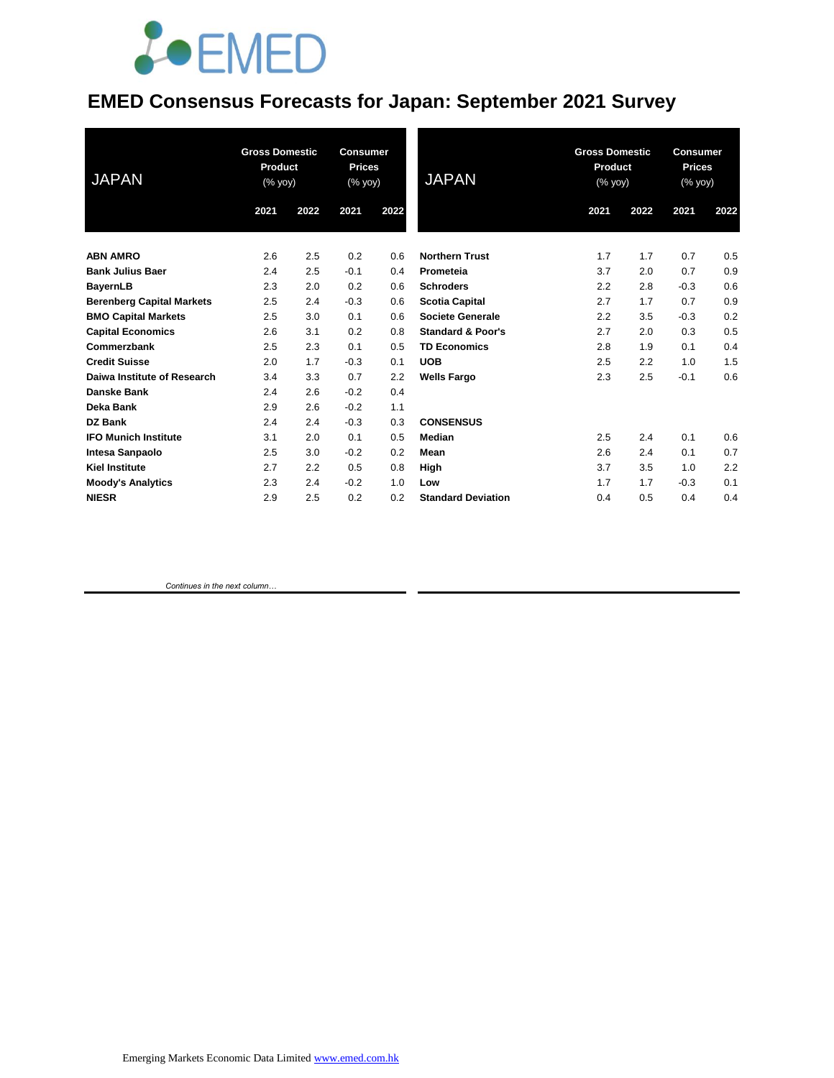# **JOEMED**

### **EMED Consensus Forecasts for Japan: September 2021 Survey**

| <b>JAPAN</b>                     | <b>Gross Domestic</b><br><b>Product</b><br>$(% \overline{y}$ (% yoy) |      | <b>Consumer</b><br><b>Prices</b><br>(% yoy) |      | <b>JAPAN</b>                 | <b>Gross Domestic</b><br>Product<br>$(% \mathsf{Y}\cup \mathsf{Y})$ (% $\mathsf{Y}$ |      | <b>Consumer</b><br><b>Prices</b><br>(% yoy) |      |
|----------------------------------|----------------------------------------------------------------------|------|---------------------------------------------|------|------------------------------|-------------------------------------------------------------------------------------|------|---------------------------------------------|------|
|                                  | 2021                                                                 | 2022 | 2021                                        | 2022 |                              | 2021                                                                                | 2022 | 2021                                        | 2022 |
| <b>ABN AMRO</b>                  | 2.6                                                                  | 2.5  | 0.2                                         | 0.6  | <b>Northern Trust</b>        | 1.7                                                                                 | 1.7  | 0.7                                         | 0.5  |
| <b>Bank Julius Baer</b>          | 2.4                                                                  | 2.5  | $-0.1$                                      | 0.4  | Prometeia                    | 3.7                                                                                 | 2.0  | 0.7                                         | 0.9  |
| <b>BayernLB</b>                  | 2.3                                                                  | 2.0  | 0.2                                         | 0.6  | <b>Schroders</b>             | 2.2                                                                                 | 2.8  | $-0.3$                                      | 0.6  |
| <b>Berenberg Capital Markets</b> | 2.5                                                                  | 2.4  | $-0.3$                                      | 0.6  | <b>Scotia Capital</b>        | 2.7                                                                                 | 1.7  | 0.7                                         | 0.9  |
| <b>BMO Capital Markets</b>       | 2.5                                                                  | 3.0  | 0.1                                         | 0.6  | Societe Generale             | 2.2                                                                                 | 3.5  | $-0.3$                                      | 0.2  |
| <b>Capital Economics</b>         | 2.6                                                                  | 3.1  | 0.2                                         | 0.8  | <b>Standard &amp; Poor's</b> | 2.7                                                                                 | 2.0  | 0.3                                         | 0.5  |
| Commerzbank                      | 2.5                                                                  | 2.3  | 0.1                                         | 0.5  | <b>TD Economics</b>          | 2.8                                                                                 | 1.9  | 0.1                                         | 0.4  |
| <b>Credit Suisse</b>             | 2.0                                                                  | 1.7  | $-0.3$                                      | 0.1  | <b>UOB</b>                   | 2.5                                                                                 | 2.2  | 1.0                                         | 1.5  |
| Daiwa Institute of Research      | 3.4                                                                  | 3.3  | 0.7                                         | 2.2  | <b>Wells Fargo</b>           | 2.3                                                                                 | 2.5  | $-0.1$                                      | 0.6  |
| <b>Danske Bank</b>               | 2.4                                                                  | 2.6  | $-0.2$                                      | 0.4  |                              |                                                                                     |      |                                             |      |
| Deka Bank                        | 2.9                                                                  | 2.6  | $-0.2$                                      | 1.1  |                              |                                                                                     |      |                                             |      |
| <b>DZ Bank</b>                   | 2.4                                                                  | 2.4  | $-0.3$                                      | 0.3  | <b>CONSENSUS</b>             |                                                                                     |      |                                             |      |
| <b>IFO Munich Institute</b>      | 3.1                                                                  | 2.0  | 0.1                                         | 0.5  | Median                       | 2.5                                                                                 | 2.4  | 0.1                                         | 0.6  |
| <b>Intesa Sanpaolo</b>           | 2.5                                                                  | 3.0  | $-0.2$                                      | 0.2  | Mean                         | 2.6                                                                                 | 2.4  | 0.1                                         | 0.7  |
| <b>Kiel Institute</b>            | 2.7                                                                  | 2.2  | 0.5                                         | 0.8  | High                         | 3.7                                                                                 | 3.5  | 1.0                                         | 2.2  |
| <b>Moody's Analytics</b>         | 2.3                                                                  | 2.4  | $-0.2$                                      | 1.0  | Low                          | 1.7                                                                                 | 1.7  | $-0.3$                                      | 0.1  |
| <b>NIESR</b>                     | 2.9                                                                  | 2.5  | 0.2                                         | 0.2  | <b>Standard Deviation</b>    | 0.4                                                                                 | 0.5  | 0.4                                         | 0.4  |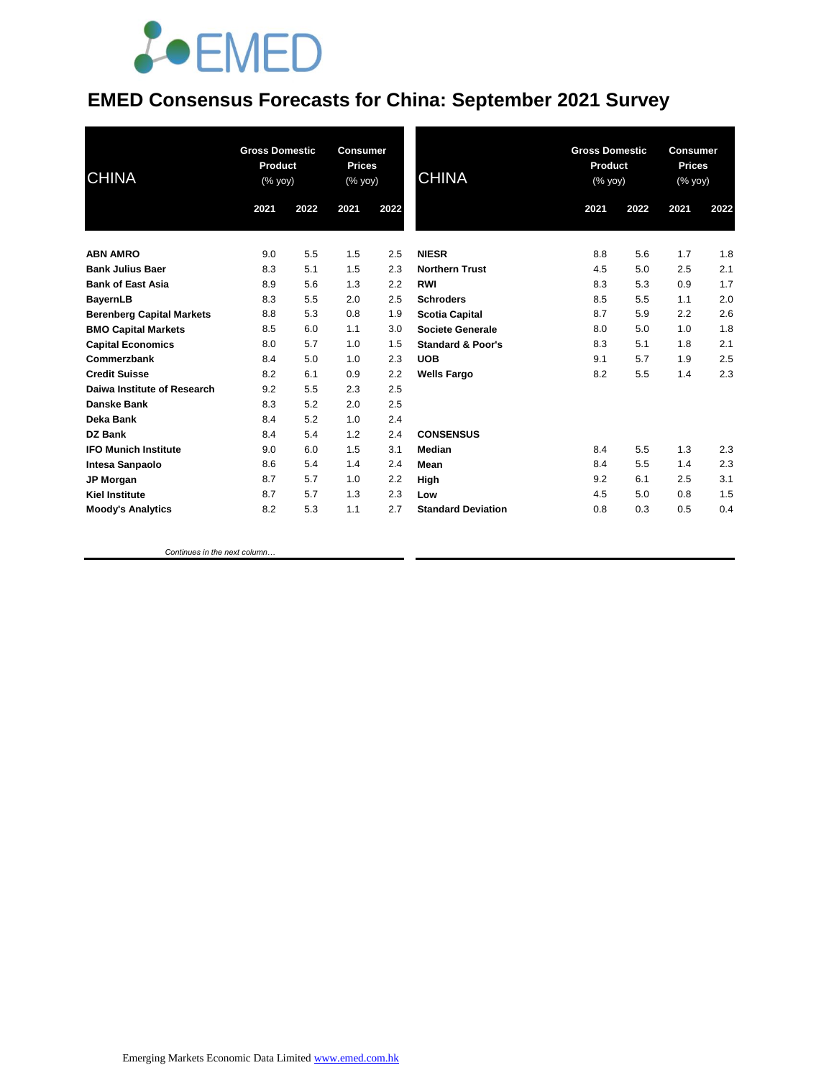## *<u>LOEMED</u>*

### **EMED Consensus Forecasts for China: September 2021 Survey**

| <b>CHINA</b>                     | <b>Gross Domestic</b><br>Product<br>$(% \mathsf{A}\rightarrow \mathsf{A})$ (% yoy) |      | <b>Consumer</b><br><b>Prices</b><br>(% yoy) |      | <b>CHINA</b>                 |      | <b>Gross Domestic</b><br>Product<br>(% |      | <b>Consumer</b><br><b>Prices</b><br>(% yoy) |  |
|----------------------------------|------------------------------------------------------------------------------------|------|---------------------------------------------|------|------------------------------|------|----------------------------------------|------|---------------------------------------------|--|
|                                  | 2021                                                                               | 2022 | 2021                                        | 2022 |                              | 2021 | 2022                                   | 2021 | 2022                                        |  |
| <b>ABN AMRO</b>                  | 9.0                                                                                | 5.5  | 1.5                                         | 2.5  | <b>NIESR</b>                 | 8.8  | 5.6                                    | 1.7  | 1.8                                         |  |
| <b>Bank Julius Baer</b>          | 8.3                                                                                | 5.1  | 1.5                                         | 2.3  | <b>Northern Trust</b>        | 4.5  | 5.0                                    | 2.5  | 2.1                                         |  |
| <b>Bank of East Asia</b>         | 8.9                                                                                | 5.6  | 1.3                                         | 2.2  | <b>RWI</b>                   | 8.3  | 5.3                                    | 0.9  | 1.7                                         |  |
| <b>BayernLB</b>                  | 8.3                                                                                | 5.5  | 2.0                                         | 2.5  | <b>Schroders</b>             | 8.5  | 5.5                                    | 1.1  | 2.0                                         |  |
| <b>Berenberg Capital Markets</b> | 8.8                                                                                | 5.3  | 0.8                                         | 1.9  | <b>Scotia Capital</b>        | 8.7  | 5.9                                    | 2.2  | 2.6                                         |  |
| <b>BMO Capital Markets</b>       | 8.5                                                                                | 6.0  | 1.1                                         | 3.0  | <b>Societe Generale</b>      | 8.0  | 5.0                                    | 1.0  | 1.8                                         |  |
| <b>Capital Economics</b>         | 8.0                                                                                | 5.7  | 1.0                                         | 1.5  | <b>Standard &amp; Poor's</b> | 8.3  | 5.1                                    | 1.8  | 2.1                                         |  |
| Commerzbank                      | 8.4                                                                                | 5.0  | 1.0                                         | 2.3  | <b>UOB</b>                   | 9.1  | 5.7                                    | 1.9  | 2.5                                         |  |
| <b>Credit Suisse</b>             | 8.2                                                                                | 6.1  | 0.9                                         | 2.2  | <b>Wells Fargo</b>           | 8.2  | 5.5                                    | 1.4  | 2.3                                         |  |
| Daiwa Institute of Research      | 9.2                                                                                | 5.5  | 2.3                                         | 2.5  |                              |      |                                        |      |                                             |  |
| Danske Bank                      | 8.3                                                                                | 5.2  | 2.0                                         | 2.5  |                              |      |                                        |      |                                             |  |
| Deka Bank                        | 8.4                                                                                | 5.2  | 1.0                                         | 2.4  |                              |      |                                        |      |                                             |  |
| <b>DZ Bank</b>                   | 8.4                                                                                | 5.4  | 1.2                                         | 2.4  | <b>CONSENSUS</b>             |      |                                        |      |                                             |  |
| <b>IFO Munich Institute</b>      | 9.0                                                                                | 6.0  | 1.5                                         | 3.1  | Median                       | 8.4  | 5.5                                    | 1.3  | 2.3                                         |  |
| Intesa Sanpaolo                  | 8.6                                                                                | 5.4  | 1.4                                         | 2.4  | Mean                         | 8.4  | 5.5                                    | 1.4  | 2.3                                         |  |
| JP Morgan                        | 8.7                                                                                | 5.7  | 1.0                                         | 2.2  | High                         | 9.2  | 6.1                                    | 2.5  | 3.1                                         |  |
| <b>Kiel Institute</b>            | 8.7                                                                                | 5.7  | 1.3                                         | 2.3  | Low                          | 4.5  | 5.0                                    | 0.8  | 1.5                                         |  |
| <b>Moody's Analytics</b>         | 8.2                                                                                | 5.3  | 1.1                                         | 2.7  | <b>Standard Deviation</b>    | 0.8  | 0.3                                    | 0.5  | 0.4                                         |  |
|                                  |                                                                                    |      |                                             |      |                              |      |                                        |      |                                             |  |